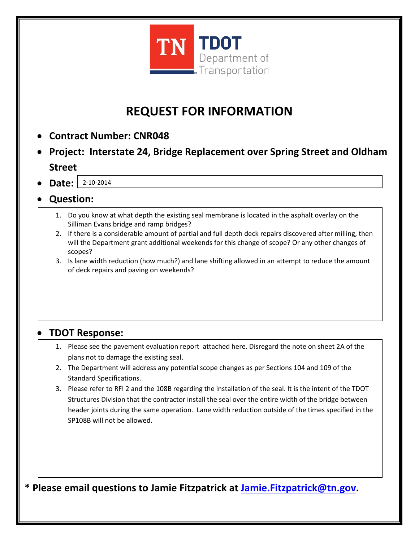

## **REQUEST FOR INFORMATION**

- **Contract Number: CNR048**
- **Project: Interstate 24, Bridge Replacement over Spring Street and Oldham Street**
- **Date:**  2-10-2014
- **Question:** 
	- 1. Do you know at what depth the existing seal membrane is located in the asphalt overlay on the Silliman Evans bridge and ramp bridges?
	- 2. If there is a considerable amount of partial and full depth deck repairs discovered after milling, then will the Department grant additional weekends for this change of scope? Or any other changes of scopes?
	- 3. Is lane width reduction (how much?) and lane shifting allowed in an attempt to reduce the amount of deck repairs and paving on weekends?

### • **TDOT Response:**

- 1. Please see the pavement evaluation report attached here. Disregard the note on sheet 2A of the plans not to damage the existing seal.
- 2. The Department will address any potential scope changes as per Sections 104 and 109 of the Standard Specifications.
- 3. Please refer to RFI 2 and the 108B regarding the installation of the seal. It is the intent of the TDOT Structures Division that the contractor install the seal over the entire width of the bridge between header joints during the same operation. Lane width reduction outside of the times specified in the SP108B will not be allowed.

**\* Please email questions to Jamie Fitzpatrick at [Jamie.Fitzpatrick@tn.gov.](mailto:Jamie.Fitzpatrick@tn.gov)**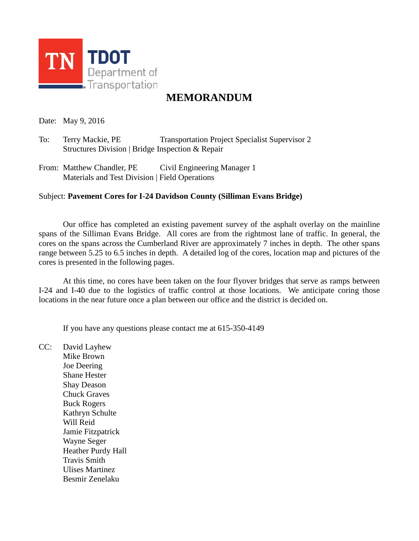

#### **MEMORANDUM**

Date: May 9, 2016

To: Terry Mackie, PE Transportation Project Specialist Supervisor 2 Structures Division | Bridge Inspection & Repair

From: Matthew Chandler, PE Civil Engineering Manager 1 Materials and Test Division | Field Operations

#### Subject: **Pavement Cores for I-24 Davidson County (Silliman Evans Bridge)**

Our office has completed an existing pavement survey of the asphalt overlay on the mainline spans of the Silliman Evans Bridge. All cores are from the rightmost lane of traffic. In general, the cores on the spans across the Cumberland River are approximately 7 inches in depth. The other spans range between 5.25 to 6.5 inches in depth. A detailed log of the cores, location map and pictures of the cores is presented in the following pages.

At this time, no cores have been taken on the four flyover bridges that serve as ramps between I-24 and I-40 due to the logistics of traffic control at those locations. We anticipate coring those locations in the near future once a plan between our office and the district is decided on.

If you have any questions please contact me at 615-350-4149

CC: David Layhew Mike Brown Joe Deering Shane Hester Shay Deason Chuck Graves Buck Rogers Kathryn Schulte Will Reid Jamie Fitzpatrick Wayne Seger Heather Purdy Hall Travis Smith Ulises Martinez Besmir Zenelaku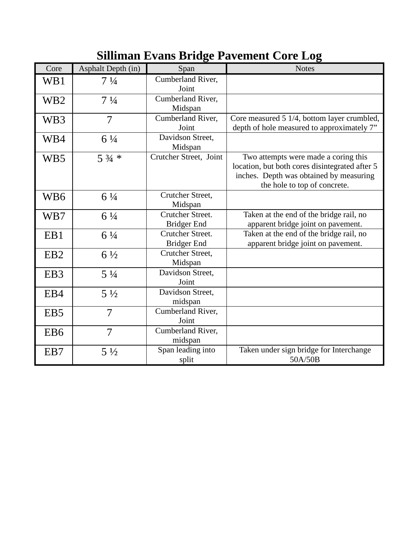# **Silliman Evans Bridge Pavement Core Log**

| Core            | Asphalt Depth (in) | Span                                   | <b>Notes</b>                                                                                                                                                      |
|-----------------|--------------------|----------------------------------------|-------------------------------------------------------------------------------------------------------------------------------------------------------------------|
| WB1             | $7\frac{1}{4}$     | Cumberland River,<br>Joint             |                                                                                                                                                                   |
| WB <sub>2</sub> | $7\frac{1}{4}$     | Cumberland River,<br>Midspan           |                                                                                                                                                                   |
| WB3             | 7                  | Cumberland River,<br>Joint             | Core measured 5 1/4, bottom layer crumbled,<br>depth of hole measured to approximately 7"                                                                         |
| WB4             | $6\frac{1}{4}$     | Davidson Street,<br>Midspan            |                                                                                                                                                                   |
| WB5             | $5\frac{3}{4}$ *   | Crutcher Street, Joint                 | Two attempts were made a coring this<br>location, but both cores disintegrated after 5<br>inches. Depth was obtained by measuring<br>the hole to top of concrete. |
| WB6             | $6\frac{1}{4}$     | Crutcher Street,<br>Midspan            |                                                                                                                                                                   |
| WB7             | $6\frac{1}{4}$     | Crutcher Street.<br><b>Bridger End</b> | Taken at the end of the bridge rail, no<br>apparent bridge joint on pavement.                                                                                     |
| EB1             | $6\frac{1}{4}$     | Crutcher Street.<br><b>Bridger End</b> | Taken at the end of the bridge rail, no<br>apparent bridge joint on pavement.                                                                                     |
| EB <sub>2</sub> | $6\frac{1}{2}$     | Crutcher Street,<br>Midspan            |                                                                                                                                                                   |
| EB <sub>3</sub> | $5\frac{1}{4}$     | Davidson Street,<br>Joint              |                                                                                                                                                                   |
| EB4             | $5\frac{1}{2}$     | Davidson Street,<br>midspan            |                                                                                                                                                                   |
| EB <sub>5</sub> | 7                  | Cumberland River,<br>Joint             |                                                                                                                                                                   |
| EB <sub>6</sub> | $\overline{7}$     | Cumberland River,<br>midspan           |                                                                                                                                                                   |
| EB7             | $5\frac{1}{2}$     | Span leading into<br>split             | Taken under sign bridge for Interchange<br>50A/50B                                                                                                                |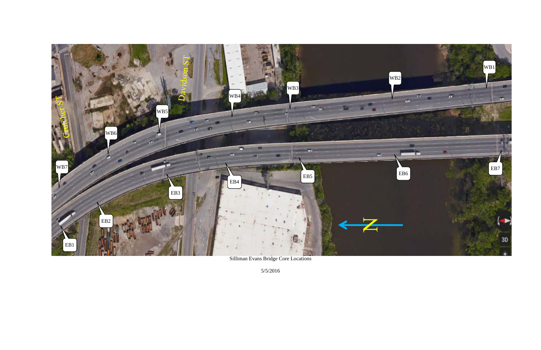

Silliman Evans Bridge Core Locations

5/5/2016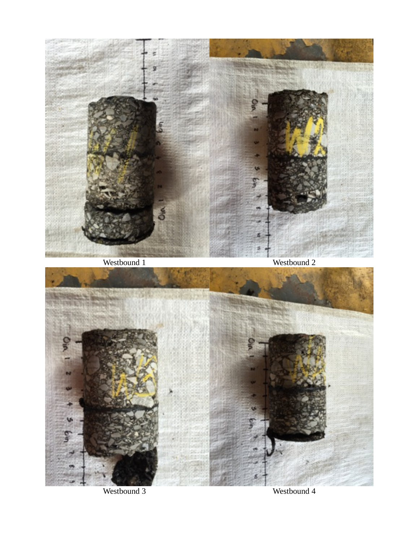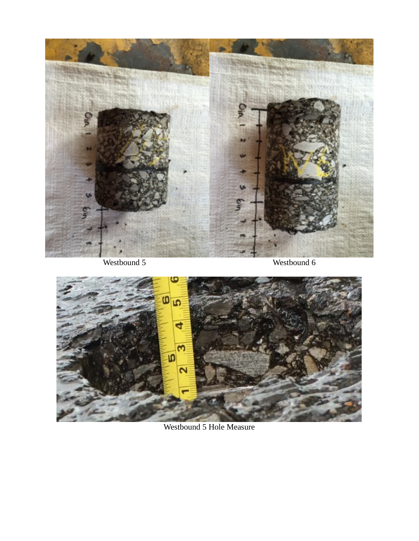



Westbound 5 Hole Measure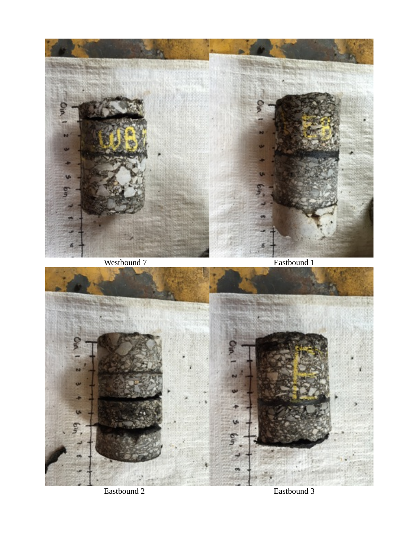